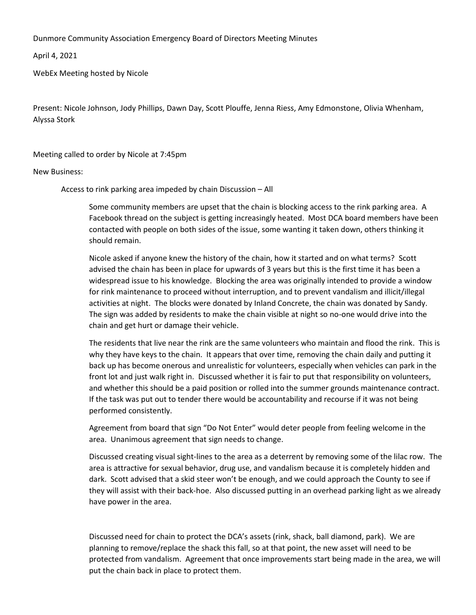Dunmore Community Association Emergency Board of Directors Meeting Minutes

April 4, 2021

WebEx Meeting hosted by Nicole

Present: Nicole Johnson, Jody Phillips, Dawn Day, Scott Plouffe, Jenna Riess, Amy Edmonstone, Olivia Whenham, Alyssa Stork

Meeting called to order by Nicole at 7:45pm

New Business:

Access to rink parking area impeded by chain Discussion – All

Some community members are upset that the chain is blocking access to the rink parking area. A Facebook thread on the subject is getting increasingly heated. Most DCA board members have been contacted with people on both sides of the issue, some wanting it taken down, others thinking it should remain.

Nicole asked if anyone knew the history of the chain, how it started and on what terms? Scott advised the chain has been in place for upwards of 3 years but this is the first time it has been a widespread issue to his knowledge. Blocking the area was originally intended to provide a window for rink maintenance to proceed without interruption, and to prevent vandalism and illicit/illegal activities at night. The blocks were donated by Inland Concrete, the chain was donated by Sandy. The sign was added by residents to make the chain visible at night so no-one would drive into the chain and get hurt or damage their vehicle.

The residents that live near the rink are the same volunteers who maintain and flood the rink. This is why they have keys to the chain. It appears that over time, removing the chain daily and putting it back up has become onerous and unrealistic for volunteers, especially when vehicles can park in the front lot and just walk right in. Discussed whether it is fair to put that responsibility on volunteers, and whether this should be a paid position or rolled into the summer grounds maintenance contract. If the task was put out to tender there would be accountability and recourse if it was not being performed consistently.

Agreement from board that sign "Do Not Enter" would deter people from feeling welcome in the area. Unanimous agreement that sign needs to change.

Discussed creating visual sight-lines to the area as a deterrent by removing some of the lilac row. The area is attractive for sexual behavior, drug use, and vandalism because it is completely hidden and dark. Scott advised that a skid steer won't be enough, and we could approach the County to see if they will assist with their back-hoe. Also discussed putting in an overhead parking light as we already have power in the area.

Discussed need for chain to protect the DCA's assets (rink, shack, ball diamond, park). We are planning to remove/replace the shack this fall, so at that point, the new asset will need to be protected from vandalism. Agreement that once improvements start being made in the area, we will put the chain back in place to protect them.